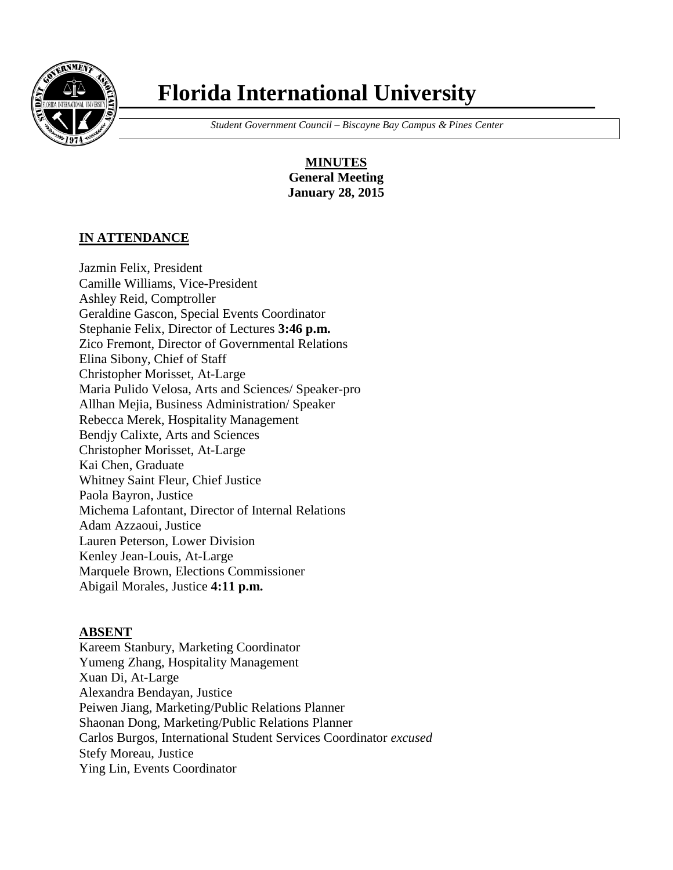

# **Florida International University**

 *Student Government Council – Biscayne Bay Campus & Pines Center*

**MINUTES General Meeting January 28, 2015**

## **IN ATTENDANCE**

Jazmin Felix, President Camille Williams, Vice-President Ashley Reid, Comptroller Geraldine Gascon, Special Events Coordinator Stephanie Felix, Director of Lectures **3:46 p.m.** Zico Fremont, Director of Governmental Relations Elina Sibony, Chief of Staff Christopher Morisset, At-Large Maria Pulido Velosa, Arts and Sciences/ Speaker-pro Allhan Mejia, Business Administration/ Speaker Rebecca Merek, Hospitality Management Bendjy Calixte, Arts and Sciences Christopher Morisset, At-Large Kai Chen, Graduate Whitney Saint Fleur, Chief Justice Paola Bayron, Justice Michema Lafontant, Director of Internal Relations Adam Azzaoui, Justice Lauren Peterson, Lower Division Kenley Jean-Louis, At-Large Marquele Brown, Elections Commissioner Abigail Morales, Justice **4:11 p.m.**

#### **ABSENT**

Kareem Stanbury, Marketing Coordinator Yumeng Zhang, Hospitality Management Xuan Di, At-Large Alexandra Bendayan, Justice Peiwen Jiang, Marketing/Public Relations Planner Shaonan Dong, Marketing/Public Relations Planner Carlos Burgos, International Student Services Coordinator *excused* Stefy Moreau, Justice Ying Lin, Events Coordinator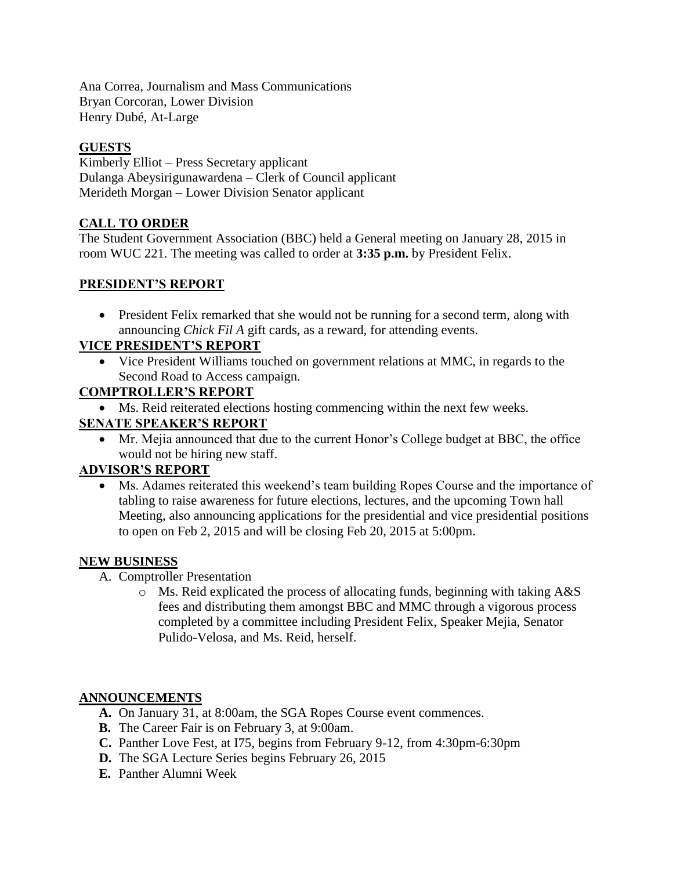Ana Correa, Journalism and Mass Communications Bryan Corcoran, Lower Division Henry Dubé, At-Large

#### **GUESTS**

Kimberly Elliot – Press Secretary applicant Dulanga Abeysirigunawardena – Clerk of Council applicant Merideth Morgan – Lower Division Senator applicant

## **CALL TO ORDER**

The Student Government Association (BBC) held a General meeting on January 28, 2015 in room WUC 221. The meeting was called to order at **3:35 p.m.** by President Felix.

## **PRESIDENT'S REPORT**

• President Felix remarked that she would not be running for a second term, along with announcing *Chick Fil A* gift cards, as a reward, for attending events.

## **VICE PRESIDENT'S REPORT**

 Vice President Williams touched on government relations at MMC, in regards to the Second Road to Access campaign.

#### **COMPTROLLER'S REPORT**

Ms. Reid reiterated elections hosting commencing within the next few weeks.

#### **SENATE SPEAKER'S REPORT**

 Mr. Mejia announced that due to the current Honor's College budget at BBC, the office would not be hiring new staff.

#### **ADVISOR'S REPORT**

 Ms. Adames reiterated this weekend's team building Ropes Course and the importance of tabling to raise awareness for future elections, lectures, and the upcoming Town hall Meeting, also announcing applications for the presidential and vice presidential positions to open on Feb 2, 2015 and will be closing Feb 20, 2015 at 5:00pm.

#### **NEW BUSINESS**

- A. Comptroller Presentation
	- o Ms. Reid explicated the process of allocating funds, beginning with taking A&S fees and distributing them amongst BBC and MMC through a vigorous process completed by a committee including President Felix, Speaker Mejia, Senator Pulido-Velosa, and Ms. Reid, herself.

## **ANNOUNCEMENTS**

- **A.** On January 31, at 8:00am, the SGA Ropes Course event commences.
- **B.** The Career Fair is on February 3, at 9:00am.
- **C.** Panther Love Fest, at I75, begins from February 9-12, from 4:30pm-6:30pm
- **D.** The SGA Lecture Series begins February 26, 2015
- **E.** Panther Alumni Week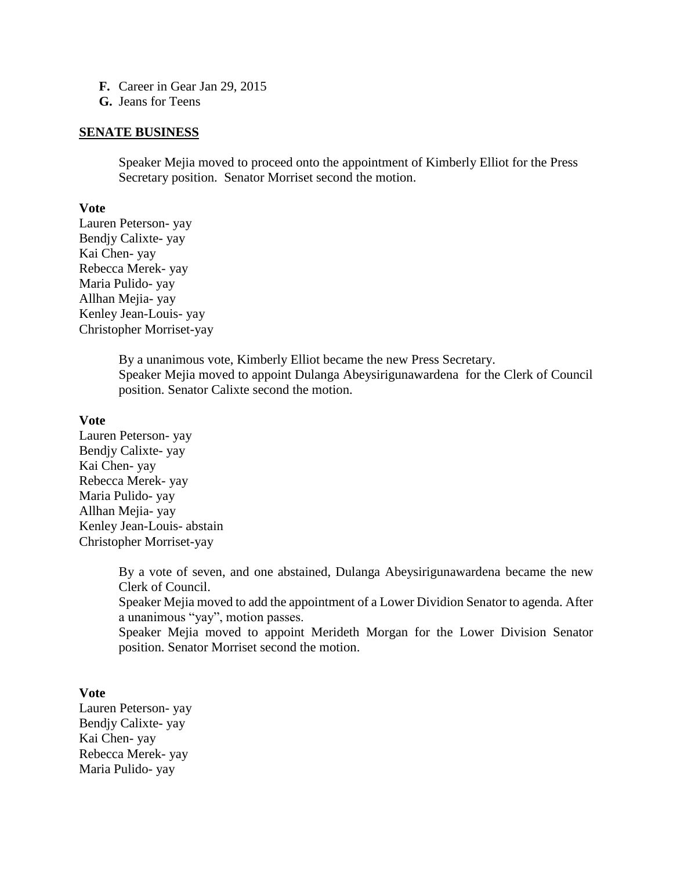- **F.** Career in Gear Jan 29, 2015
- **G.** Jeans for Teens

#### **SENATE BUSINESS**

Speaker Mejia moved to proceed onto the appointment of Kimberly Elliot for the Press Secretary position. Senator Morriset second the motion.

#### **Vote**

Lauren Peterson- yay Bendjy Calixte- yay Kai Chen- yay Rebecca Merek- yay Maria Pulido- yay Allhan Mejia- yay Kenley Jean-Louis- yay Christopher Morriset-yay

> By a unanimous vote, Kimberly Elliot became the new Press Secretary. Speaker Mejia moved to appoint Dulanga Abeysirigunawardena for the Clerk of Council position. Senator Calixte second the motion.

#### **Vote**

Lauren Peterson- yay Bendjy Calixte- yay Kai Chen- yay Rebecca Merek- yay Maria Pulido- yay Allhan Mejia- yay Kenley Jean-Louis- abstain Christopher Morriset-yay

> By a vote of seven, and one abstained, Dulanga Abeysirigunawardena became the new Clerk of Council. Speaker Mejia moved to add the appointment of a Lower Dividion Senator to agenda. After a unanimous "yay", motion passes. Speaker Mejia moved to appoint Merideth Morgan for the Lower Division Senator position. Senator Morriset second the motion.

#### **Vote**

Lauren Peterson- yay Bendjy Calixte- yay Kai Chen- yay Rebecca Merek- yay Maria Pulido- yay